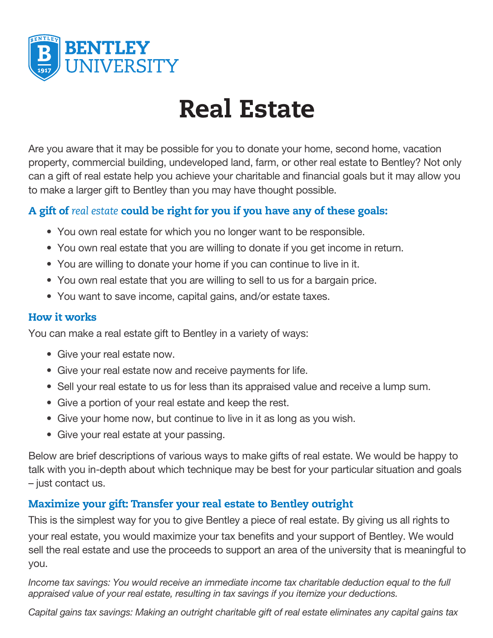

# Real Estate

Are you aware that it may be possible for you to donate your home, second home, vacation property, commercial building, undeveloped land, farm, or other real estate to Bentley? Not only can a gift of real estate help you achieve your charitable and financial goals but it may allow you to make a larger gift to Bentley than you may have thought possible.

#### A gift of *real estate* could be right for you if you have any of these goals:

- You own real estate for which you no longer want to be responsible.
- You own real estate that you are willing to donate if you get income in return.
- You are willing to donate your home if you can continue to live in it.
- You own real estate that you are willing to sell to us for a bargain price.
- You want to save income, capital gains, and/or estate taxes.

#### How it works

You can make a real estate gift to Bentley in a variety of ways:

- Give your real estate now.
- Give your real estate now and receive payments for life.
- Sell your real estate to us for less than its appraised value and receive a lump sum.
- Give a portion of your real estate and keep the rest.
- Give your home now, but continue to live in it as long as you wish.
- Give your real estate at your passing.

Below are brief descriptions of various ways to make gifts of real estate. We would be happy to talk with you in-depth about which technique may be best for your particular situation and goals – just contact us.

#### Maximize your gift: Transfer your real estate to Bentley outright

This is the simplest way for you to give Bentley a piece of real estate. By giving us all rights to your real estate, you would maximize your tax benefits and your support of Bentley. We would sell the real estate and use the proceeds to support an area of the university that is meaningful to you.

*Income tax savings: You would receive an immediate income tax charitable deduction equal to the full appraised value of your real estate, resulting in tax savings if you itemize your deductions.*

*Capital gains tax savings: Making an outright charitable gift of real estate eliminates any capital gains tax*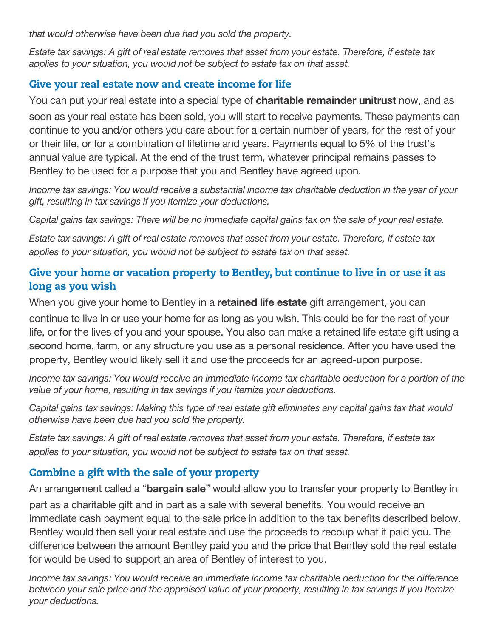*that would otherwise have been due had you sold the property.*

*Estate tax savings: A gift of real estate removes that asset from your estate. Therefore, if estate tax applies to your situation, you would not be subject to estate tax on that asset.*

#### Give your real estate now and create income for life

You can put your real estate into a special type of **charitable remainder unitrust** now, and as soon as your real estate has been sold, you will start to receive payments. These payments can continue to you and/or others you care about for a certain number of years, for the rest of your or their life, or for a combination of lifetime and years. Payments equal to 5% of the trust's annual value are typical. At the end of the trust term, whatever principal remains passes to Bentley to be used for a purpose that you and Bentley have agreed upon.

*Income tax savings: You would receive a substantial income tax charitable deduction in the year of your gift, resulting in tax savings if you itemize your deductions.*

*Capital gains tax savings: There will be no immediate capital gains tax on the sale of your real estate.*

*Estate tax savings: A gift of real estate removes that asset from your estate. Therefore, if estate tax applies to your situation, you would not be subject to estate tax on that asset.*

### Give your home or vacation property to Bentley, but continue to live in or use it as long as you wish

When you give your home to Bentley in a **retained life estate** gift arrangement, you can continue to live in or use your home for as long as you wish. This could be for the rest of your life, or for the lives of you and your spouse. You also can make a retained life estate gift using a second home, farm, or any structure you use as a personal residence. After you have used the property, Bentley would likely sell it and use the proceeds for an agreed-upon purpose.

*Income tax savings: You would receive an immediate income tax charitable deduction for a portion of the value of your home, resulting in tax savings if you itemize your deductions.*

*Capital gains tax savings: Making this type of real estate gift eliminates any capital gains tax that would otherwise have been due had you sold the property.*

*Estate tax savings: A gift of real estate removes that asset from your estate. Therefore, if estate tax applies to your situation, you would not be subject to estate tax on that asset.*

## Combine a gift with the sale of your property

An arrangement called a "bargain sale" would allow you to transfer your property to Bentley in part as a charitable gift and in part as a sale with several benefits. You would receive an immediate cash payment equal to the sale price in addition to the tax benefits described below. Bentley would then sell your real estate and use the proceeds to recoup what it paid you. The difference between the amount Bentley paid you and the price that Bentley sold the real estate for would be used to support an area of Bentley of interest to you.

*Income tax savings: You would receive an immediate income tax charitable deduction for the difference between your sale price and the appraised value of your property, resulting in tax savings if you itemize your deductions.*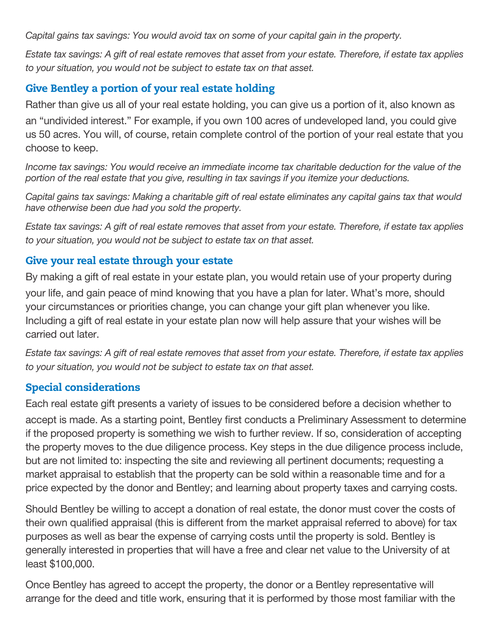*Capital gains tax savings: You would avoid tax on some of your capital gain in the property.*

*Estate tax savings: A gift of real estate removes that asset from your estate. Therefore, if estate tax applies to your situation, you would not be subject to estate tax on that asset.*

#### Give Bentley a portion of your real estate holding

Rather than give us all of your real estate holding, you can give us a portion of it, also known as an "undivided interest." For example, if you own 100 acres of undeveloped land, you could give us 50 acres. You will, of course, retain complete control of the portion of your real estate that you choose to keep.

*Income tax savings: You would receive an immediate income tax charitable deduction for the value of the portion of the real estate that you give, resulting in tax savings if you itemize your deductions.*

*Capital gains tax savings: Making a charitable gift of real estate eliminates any capital gains tax that would have otherwise been due had you sold the property.*

*Estate tax savings: A gift of real estate removes that asset from your estate. Therefore, if estate tax applies to your situation, you would not be subject to estate tax on that asset.*

#### Give your real estate through your estate

By making a gift of real estate in your estate plan, you would retain use of your property during your life, and gain peace of mind knowing that you have a plan for later. What's more, should your circumstances or priorities change, you can change your gift plan whenever you like. Including a gift of real estate in your estate plan now will help assure that your wishes will be carried out later.

*Estate tax savings: A gift of real estate removes that asset from your estate. Therefore, if estate tax applies to your situation, you would not be subject to estate tax on that asset.*

#### Special considerations

Each real estate gift presents a variety of issues to be considered before a decision whether to accept is made. As a starting point, Bentley first conducts a Preliminary Assessment to determine if the proposed property is something we wish to further review. If so, consideration of accepting the property moves to the due diligence process. Key steps in the due diligence process include, but are not limited to: inspecting the site and reviewing all pertinent documents; requesting a market appraisal to establish that the property can be sold within a reasonable time and for a price expected by the donor and Bentley; and learning about property taxes and carrying costs.

Should Bentley be willing to accept a donation of real estate, the donor must cover the costs of their own qualified appraisal (this is different from the market appraisal referred to above) for tax purposes as well as bear the expense of carrying costs until the property is sold. Bentley is generally interested in properties that will have a free and clear net value to the University of at least \$100,000.

Once Bentley has agreed to accept the property, the donor or a Bentley representative will arrange for the deed and title work, ensuring that it is performed by those most familiar with the